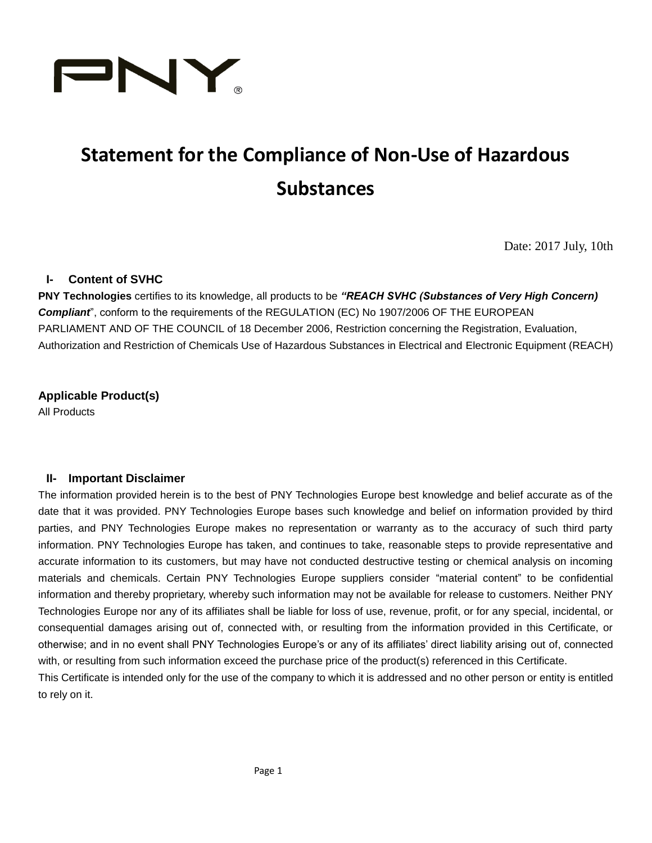

# **Statement for the Compliance of Non-Use of Hazardous Substances**

Date: 2017 July, 10th

### **I- Content of SVHC**

**PNY Technologies** certifies to its knowledge, all products to be *"REACH SVHC (Substances of Very High Concern) Compliant*", conform to the requirements of the REGULATION (EC) No 1907/2006 OF THE EUROPEAN PARLIAMENT AND OF THE COUNCIL of 18 December 2006, Restriction concerning the Registration, Evaluation, Authorization and Restriction of Chemicals Use of Hazardous Substances in Electrical and Electronic Equipment (REACH)

**Applicable Product(s)** All Products

#### **II- Important Disclaimer**

The information provided herein is to the best of PNY Technologies Europe best knowledge and belief accurate as of the date that it was provided. PNY Technologies Europe bases such knowledge and belief on information provided by third parties, and PNY Technologies Europe makes no representation or warranty as to the accuracy of such third party information. PNY Technologies Europe has taken, and continues to take, reasonable steps to provide representative and accurate information to its customers, but may have not conducted destructive testing or chemical analysis on incoming materials and chemicals. Certain PNY Technologies Europe suppliers consider "material content" to be confidential information and thereby proprietary, whereby such information may not be available for release to customers. Neither PNY Technologies Europe nor any of its affiliates shall be liable for loss of use, revenue, profit, or for any special, incidental, or consequential damages arising out of, connected with, or resulting from the information provided in this Certificate, or otherwise; and in no event shall PNY Technologies Europe's or any of its affiliates' direct liability arising out of, connected with, or resulting from such information exceed the purchase price of the product(s) referenced in this Certificate.

This Certificate is intended only for the use of the company to which it is addressed and no other person or entity is entitled to rely on it.